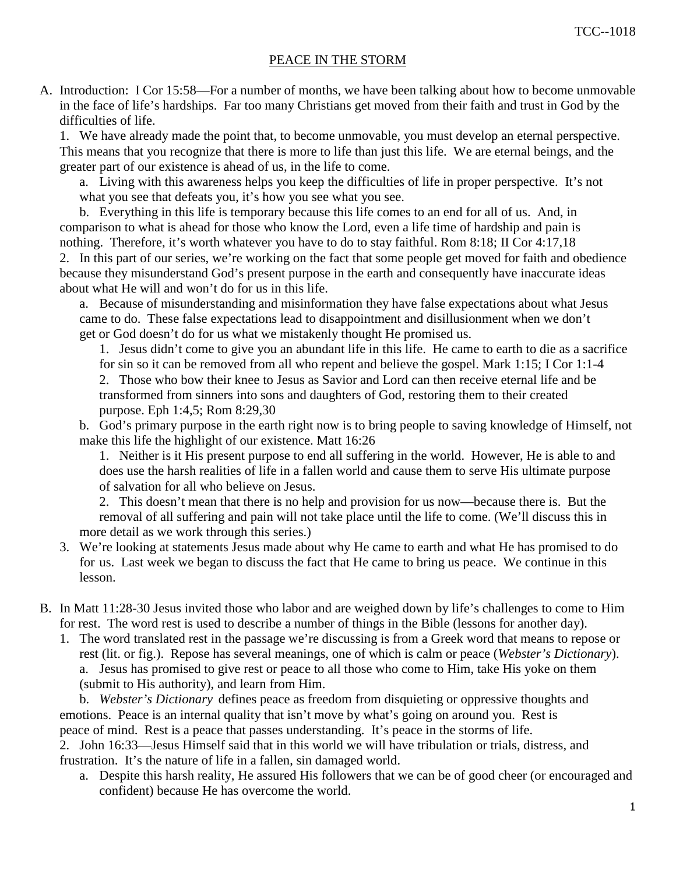## PEACE IN THE STORM

A. Introduction: I Cor 15:58—For a number of months, we have been talking about how to become unmovable in the face of life's hardships. Far too many Christians get moved from their faith and trust in God by the difficulties of life.

 1. We have already made the point that, to become unmovable, you must develop an eternal perspective. This means that you recognize that there is more to life than just this life. We are eternal beings, and the greater part of our existence is ahead of us, in the life to come.

 a. Living with this awareness helps you keep the difficulties of life in proper perspective. It's not what you see that defeats you, it's how you see what you see.

 b. Everything in this life is temporary because this life comes to an end for all of us. And, in comparison to what is ahead for those who know the Lord, even a life time of hardship and pain is nothing. Therefore, it's worth whatever you have to do to stay faithful. Rom 8:18; II Cor 4:17,18 2. In this part of our series, we're working on the fact that some people get moved for faith and obedience because they misunderstand God's present purpose in the earth and consequently have inaccurate ideas about what He will and won't do for us in this life.

 a. Because of misunderstanding and misinformation they have false expectations about what Jesus came to do. These false expectations lead to disappointment and disillusionment when we don't get or God doesn't do for us what we mistakenly thought He promised us.

 1. Jesus didn't come to give you an abundant life in this life. He came to earth to die as a sacrifice for sin so it can be removed from all who repent and believe the gospel. Mark 1:15; I Cor 1:1-4 2. Those who bow their knee to Jesus as Savior and Lord can then receive eternal life and be transformed from sinners into sons and daughters of God, restoring them to their created purpose. Eph 1:4,5; Rom 8:29,30

 b. God's primary purpose in the earth right now is to bring people to saving knowledge of Himself, not make this life the highlight of our existence. Matt 16:26

 1. Neither is it His present purpose to end all suffering in the world. However, He is able to and does use the harsh realities of life in a fallen world and cause them to serve His ultimate purpose of salvation for all who believe on Jesus.

 2. This doesn't mean that there is no help and provision for us now—because there is. But the removal of all suffering and pain will not take place until the life to come. (We'll discuss this in more detail as we work through this series.)

- 3. We're looking at statements Jesus made about why He came to earth and what He has promised to do for us. Last week we began to discuss the fact that He came to bring us peace. We continue in this lesson.
- B. In Matt 11:28-30 Jesus invited those who labor and are weighed down by life's challenges to come to Him for rest. The word rest is used to describe a number of things in the Bible (lessons for another day).
	- 1. The word translated rest in the passage we're discussing is from a Greek word that means to repose or rest (lit. or fig.). Repose has several meanings, one of which is calm or peace (*Webster's Dictionary*). a. Jesus has promised to give rest or peace to all those who come to Him, take His yoke on them (submit to His authority), and learn from Him.

 b. *Webster's Dictionary* defines peace as freedom from disquieting or oppressive thoughts and emotions. Peace is an internal quality that isn't move by what's going on around you. Rest is peace of mind. Rest is a peace that passes understanding. It's peace in the storms of life.

 2. John 16:33—Jesus Himself said that in this world we will have tribulation or trials, distress, and frustration. It's the nature of life in a fallen, sin damaged world.

 a. Despite this harsh reality, He assured His followers that we can be of good cheer (or encouraged and confident) because He has overcome the world.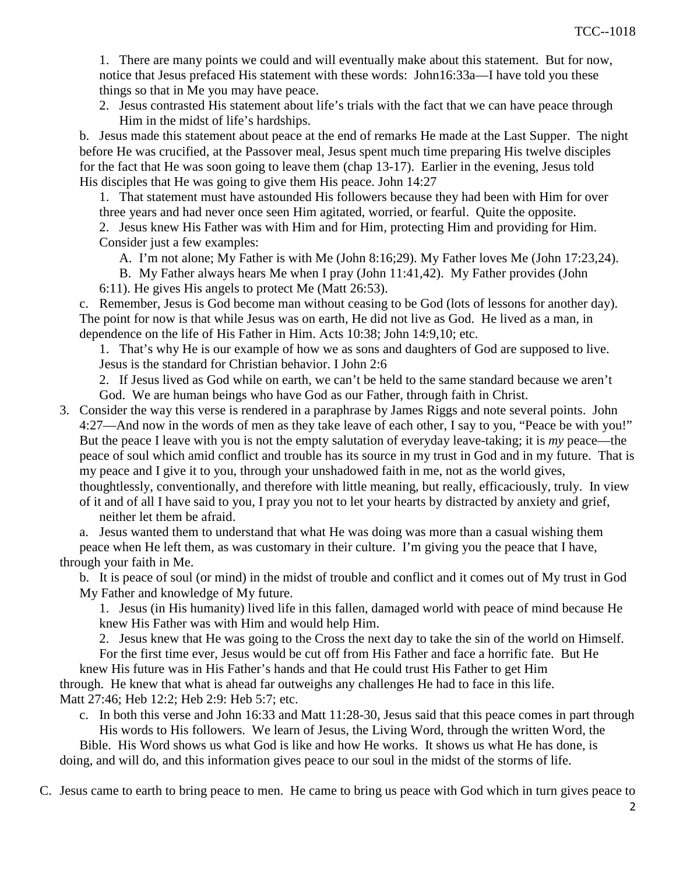1. There are many points we could and will eventually make about this statement. But for now, notice that Jesus prefaced His statement with these words: John16:33a—I have told you these things so that in Me you may have peace.

 2. Jesus contrasted His statement about life's trials with the fact that we can have peace through Him in the midst of life's hardships.

 b. Jesus made this statement about peace at the end of remarks He made at the Last Supper. The night before He was crucified, at the Passover meal, Jesus spent much time preparing His twelve disciples for the fact that He was soon going to leave them (chap 13-17). Earlier in the evening, Jesus told His disciples that He was going to give them His peace. John 14:27

 1. That statement must have astounded His followers because they had been with Him for over three years and had never once seen Him agitated, worried, or fearful. Quite the opposite.

 2. Jesus knew His Father was with Him and for Him, protecting Him and providing for Him. Consider just a few examples:

A. I'm not alone; My Father is with Me (John 8:16;29). My Father loves Me (John 17:23,24).

B. My Father always hears Me when I pray (John 11:41,42). My Father provides (John

6:11). He gives His angels to protect Me (Matt 26:53).

 c. Remember, Jesus is God become man without ceasing to be God (lots of lessons for another day). The point for now is that while Jesus was on earth, He did not live as God. He lived as a man, in dependence on the life of His Father in Him. Acts 10:38; John 14:9,10; etc.

 1. That's why He is our example of how we as sons and daughters of God are supposed to live. Jesus is the standard for Christian behavior. I John 2:6

 2. If Jesus lived as God while on earth, we can't be held to the same standard because we aren't God. We are human beings who have God as our Father, through faith in Christ.

3. Consider the way this verse is rendered in a paraphrase by James Riggs and note several points. John 4:27—And now in the words of men as they take leave of each other, I say to you, "Peace be with you!" But the peace I leave with you is not the empty salutation of everyday leave-taking; it is *my* peace—the peace of soul which amid conflict and trouble has its source in my trust in God and in my future. That is my peace and I give it to you, through your unshadowed faith in me, not as the world gives, thoughtlessly, conventionally, and therefore with little meaning, but really, efficaciously, truly. In view of it and of all I have said to you, I pray you not to let your hearts by distracted by anxiety and grief,

neither let them be afraid.

 a. Jesus wanted them to understand that what He was doing was more than a casual wishing them peace when He left them, as was customary in their culture. I'm giving you the peace that I have, through your faith in Me.

 b. It is peace of soul (or mind) in the midst of trouble and conflict and it comes out of My trust in God My Father and knowledge of My future.

 1. Jesus (in His humanity) lived life in this fallen, damaged world with peace of mind because He knew His Father was with Him and would help Him.

 2. Jesus knew that He was going to the Cross the next day to take the sin of the world on Himself. For the first time ever, Jesus would be cut off from His Father and face a horrific fate. But He

 knew His future was in His Father's hands and that He could trust His Father to get Him through. He knew that what is ahead far outweighs any challenges He had to face in this life. Matt 27:46; Heb 12:2; Heb 2:9: Heb 5:7; etc.

 c. In both this verse and John 16:33 and Matt 11:28-30, Jesus said that this peace comes in part through His words to His followers. We learn of Jesus, the Living Word, through the written Word, the

 Bible. His Word shows us what God is like and how He works. It shows us what He has done, is doing, and will do, and this information gives peace to our soul in the midst of the storms of life.

C. Jesus came to earth to bring peace to men. He came to bring us peace with God which in turn gives peace to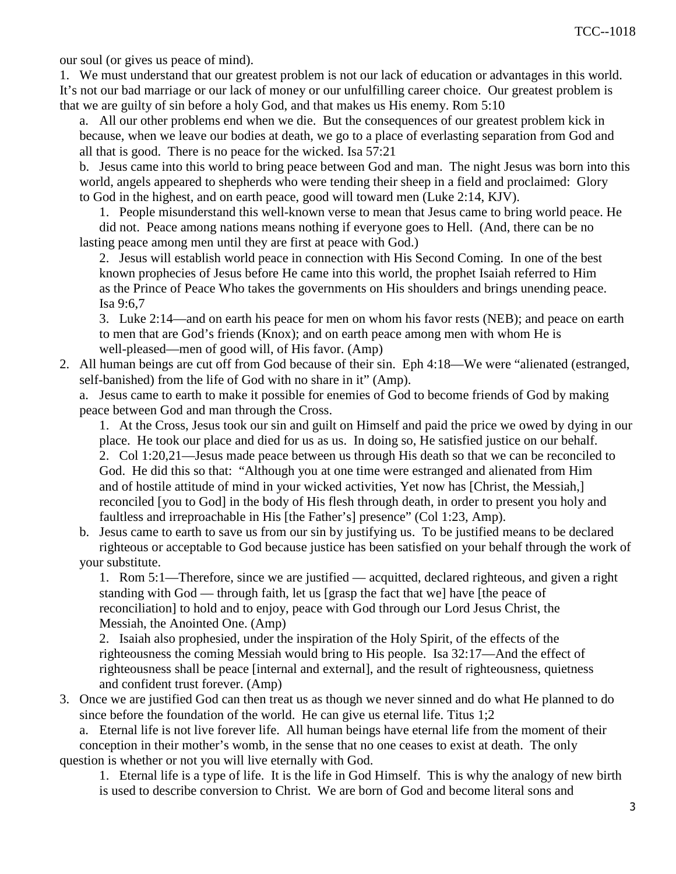our soul (or gives us peace of mind).

 1. We must understand that our greatest problem is not our lack of education or advantages in this world. It's not our bad marriage or our lack of money or our unfulfilling career choice. Our greatest problem is that we are guilty of sin before a holy God, and that makes us His enemy. Rom 5:10

 a. All our other problems end when we die. But the consequences of our greatest problem kick in because, when we leave our bodies at death, we go to a place of everlasting separation from God and all that is good. There is no peace for the wicked. Isa 57:21

 b. Jesus came into this world to bring peace between God and man. The night Jesus was born into this world, angels appeared to shepherds who were tending their sheep in a field and proclaimed: Glory to God in the highest, and on earth peace, good will toward men (Luke 2:14, KJV).

1. People misunderstand this well-known verse to mean that Jesus came to bring world peace. He

 did not. Peace among nations means nothing if everyone goes to Hell. (And, there can be no lasting peace among men until they are first at peace with God.)

 2. Jesus will establish world peace in connection with His Second Coming. In one of the best known prophecies of Jesus before He came into this world, the prophet Isaiah referred to Him as the Prince of Peace Who takes the governments on His shoulders and brings unending peace. Isa 9:6,7

 3. Luke 2:14—and on earth his peace for men on whom his favor rests (NEB); and peace on earth to men that are God's friends (Knox); and on earth peace among men with whom He is well-pleased—men of good will, of His favor. (Amp)

 2. All human beings are cut off from God because of their sin. Eph 4:18—We were "alienated (estranged, self-banished) from the life of God with no share in it" (Amp).

 a. Jesus came to earth to make it possible for enemies of God to become friends of God by making peace between God and man through the Cross.

 1. At the Cross, Jesus took our sin and guilt on Himself and paid the price we owed by dying in our place. He took our place and died for us as us. In doing so, He satisfied justice on our behalf. 2. Col 1:20,21—Jesus made peace between us through His death so that we can be reconciled to God. He did this so that: "Although you at one time were estranged and alienated from Him and of hostile attitude of mind in your wicked activities, Yet now has [Christ, the Messiah,] reconciled [you to God] in the body of His flesh through death, in order to present you holy and faultless and irreproachable in His [the Father's] presence" (Col 1:23, Amp).

 b. Jesus came to earth to save us from our sin by justifying us. To be justified means to be declared righteous or acceptable to God because justice has been satisfied on your behalf through the work of your substitute.

 1. Rom 5:1—Therefore, since we are justified — acquitted, declared righteous, and given a right standing with God — through faith, let us [grasp the fact that we] have [the peace of reconciliation] to hold and to enjoy, peace with God through our Lord Jesus Christ, the Messiah, the Anointed One. (Amp)

 2. Isaiah also prophesied, under the inspiration of the Holy Spirit, of the effects of the righteousness the coming Messiah would bring to His people. Isa 32:17—And the effect of righteousness shall be peace [internal and external], and the result of righteousness, quietness and confident trust forever. (Amp)

 3. Once we are justified God can then treat us as though we never sinned and do what He planned to do since before the foundation of the world. He can give us eternal life. Titus 1;2

a. Eternal life is not live forever life. All human beings have eternal life from the moment of their

 conception in their mother's womb, in the sense that no one ceases to exist at death. The only question is whether or not you will live eternally with God.

 1. Eternal life is a type of life. It is the life in God Himself. This is why the analogy of new birth is used to describe conversion to Christ. We are born of God and become literal sons and